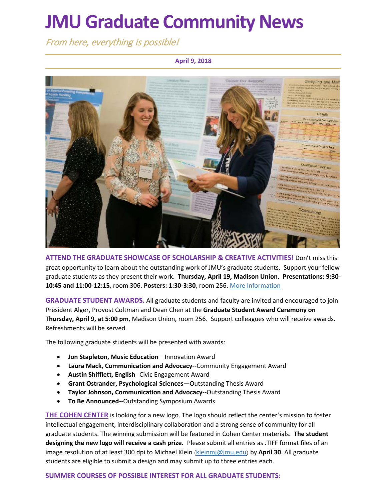# **JMU Graduate Community News**

From here, everything is possible!

### **April 9, 2018**



**ATTEND THE GRADUATE SHOWCASE OF SCHOLARSHIP & CREATIVE ACTIVITIES!** Don't miss this great opportunity to learn about the outstanding work of JMU's graduate students. Support your fellow graduate students as they present their work. **Thursday, April 19, Madison Union. Presentations: 9:30- 10:45 and 11:00-12:15**, room 306. **Posters: 1:30-3:30**, room 256[. More Information](https://www.jmu.edu/grad/GraduateShowcase/proposals-wanted.shtml)

**GRADUATE STUDENT AWARDS.** All graduate students and faculty are invited and encouraged to join President Alger, Provost Coltman and Dean Chen at the **Graduate Student Award Ceremony on Thursday, April 9, at 5:00 pm**, Madison Union, room 256. Support colleagues who will receive awards. Refreshments will be served.

The following graduate students will be presented with awards:

- **Jon Stapleton, Music Education**—Innovation Award
- **Laura Mack, Communication and Advocacy**--Community Engagement Award
- **Austin Shifflett, English**--Civic Engagement Award
- **Grant Ostrander, Psychological Sciences**—Outstanding Thesis Award
- **Taylor Johnson, Communication and Advocacy**--Outstanding Thesis Award
- **To Be Announced**--Outstanding Symposium Awards

**[THE COHEN CENTER](http://www.jmu.edu/cohencenter/)** is looking for a new logo. The logo should reflect the center's mission to foster intellectual engagement, interdisciplinary collaboration and a strong sense of community for all graduate students. The winning submission will be featured in Cohen Center materials. **The student designing the new logo will receive a cash prize.** Please submit all entries as .TIFF format files of an image resolution of at least 300 dpi to Michael Klein ([kleinmj@jmu.edu](mailto:kleinmj@jmu.edu)) by **April 30**. All graduate students are eligible to submit a design and may submit up to three entries each.

### **SUMMER COURSES OF POSSIBLE INTEREST FOR ALL GRADUATE STUDENTS:**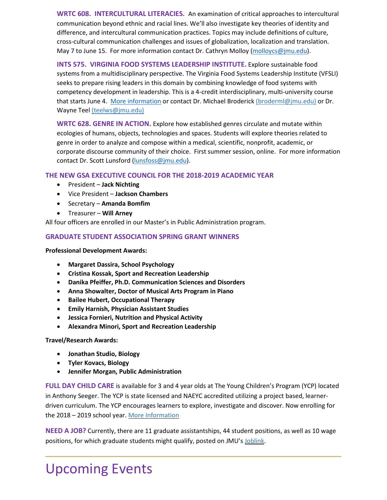**WRTC 608. INTERCULTURAL LITERACIES.** An examination of critical approaches to intercultural communication beyond ethnic and racial lines. We'll also investigate key theories of identity and difference, and intercultural communication practices. Topics may include definitions of culture, cross-cultural communication challenges and issues of globalization, localization and translation. May 7 to June 15. For more information contact Dr. Cathryn Molloy [\(molloycs@jmu.edu\)](mailto:molloycs@jmu.edu).

**INTS 575. VIRGINIA FOOD SYSTEMS LEADERSHIP INSTITUTE.** Explore sustainable food systems from a multidisciplinary perspective. The Virginia Food Systems Leadership Institute (VFSLI) seeks to prepare rising leaders in this domain by combining knowledge of food systems with competency development in leadership. This is a 4-credit interdisciplinary, multi-university course that starts June 4. [More information](https://sail.gmu.edu/field-studies/all-courses/summer-2018/virginia-food-systems-leadership-institute-vfsli) or contact Dr. Michael Broderick [\(broderml@jmu.edu\)](mailto:broderml@jmu.edu) or Dr. Wayne Teel [\(teelws@jmu.edu\)](mailto:teelws@jmu.edu)

**WRTC 628. GENRE IN ACTION.** Explore how established genres circulate and mutate within ecologies of humans, objects, technologies and spaces. Students will explore theories related to genre in order to analyze and compose within a medical, scientific, nonprofit, academic, or corporate discourse community of their choice. First summer session, online. For more information contact Dr. Scott Lunsford [\(lunsfoss@jmu.edu\)](mailto:lunsfoss@jmu.edu).

### **THE NEW GSA EXECUTIVE COUNCIL FOR THE 2018-2019 ACADEMIC YEAR**

- President **Jack Nichting**
- Vice President **Jackson Chambers**
- Secretary **Amanda Bomfim**
- Treasurer **Will Arney**

All four officers are enrolled in our Master's in Public Administration program.

### **GRADUATE STUDENT ASSOCIATION SPRING GRANT WINNERS**

**Professional Development Awards:**

- **Margaret Dassira, School Psychology**
- **Cristina Kossak, Sport and Recreation Leadership**
- **Danika Pfeiffer, Ph.D. Communication Sciences and Disorders**
- **Anna Showalter, Doctor of Musical Arts Program in Piano**
- **Bailee Hubert, Occupational Therapy**
- **Emily Harnish, Physician Assistant Studies**
- **Jessica Fornieri, Nutrition and Physical Activity**
- **Alexandra Minori, Sport and Recreation Leadership**

**Travel/Research Awards:**

- **Jonathan Studio, Biology**
- **Tyler Kovacs, Biology**
- **Jennifer Morgan, Public Administration**

**FULL DAY CHILD CARE** is available for 3 and 4 year olds at The Young Children's Program (YCP) located in Anthony Seeger. The YCP is state licensed and NAEYC accredited utilizing a project based, learnerdriven curriculum. The YCP encourages learners to explore, investigate and discover. Now enrolling for the 2018 – 2019 school year. More [Information](https://www.jmu.edu/coe/ycp/)

**NEED A JOB?** Currently, there are 11 graduate assistantships, 44 student positions, as well as 10 wage positions, for which graduate students might qualify, posted on JMU's [Joblink.](https://joblink.jmu.edu/)

## Upcoming Events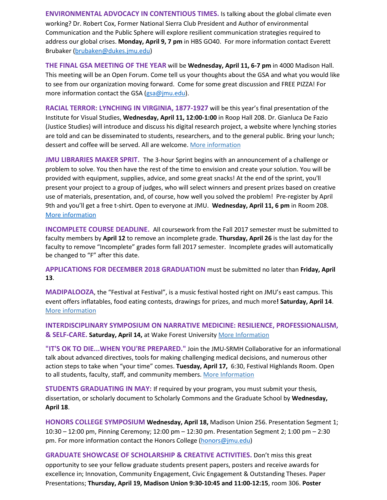**ENVIRONMENTAL ADVOCACY IN CONTENTIOUS TIMES.** Is talking about the global climate even working? Dr. Robert Cox, Former National Sierra Club President and Author of environmental Communication and the Public Sphere will explore resilient communication strategies required to address our global crises. **Monday, April 9, 7 pm** in HBS GO40. For more information contact Everett Brubaker [\(brubaken@dukes.jmu.edu\)](mailto:brubaken@dukes.jmu.edu)

**THE FINAL GSA MEETING OF THE YEAR** will be **Wednesday, April 11, 6-7 pm** in 4000 Madison Hall. This meeting will be an Open Forum. Come tell us your thoughts about the GSA and what you would like to see from our organization moving forward. Come for some great discussion and FREE PIZZA! For more information contact the GSA [\(gsa@jmu.edu\)](mailto:gsa@jmu.edu).

**RACIAL TERROR: LYNCHING IN VIRGINIA, 1877-1927** will be this year's final presentation of the Institute for Visual Studies, **Wednesday, April 11, 12:00-1:00** in Roop Hall 208. Dr. Gianluca De Fazio (Justice Studies) will introduce and discuss his digital research project, a website where lynching stories are told and can be disseminated to students, researchers, and to the general public. Bring your lunch; dessert and coffee will be served. All are welcome. [More information](https://www.jmu.edu/ivs/events/colloquia.shtml)

**JMU LIBRARIES MAKER SPRIT.** The 3-hour Sprint begins with an announcement of a challenge or problem to solve. You then have the rest of the time to envision and create your solution. You will be provided with equipment, supplies, advice, and some great snacks! At the end of the sprint, you'll present your project to a group of judges, who will select winners and present prizes based on creative use of materials, presentation, and, of course, how well you solved the problem! Pre-register by April 9th and you'll get a free t-shirt. Open to everyone at JMU. **Wednesday, April 11, 6 pm** in Room 208. [More information](http://letmakersprint.weebly.com/)

**INCOMPLETE COURSE DEADLINE.** All coursework from the Fall 2017 semester must be submitted to faculty members by **April 12** to remove an incomplete grade. **Thursday, April 26** is the last day for the faculty to remove "Incomplete" grades form fall 2017 semester. Incomplete grades will automatically be changed to "F" after this date.

**APPLICATIONS FOR DECEMBER 2018 GRADUATION** must be submitted no later than **Friday, April 13**.

**MADIPALOOZA**, the "Festival at Festival", is a music festival hosted right on JMU's east campus. This event offers inflatables, food eating contests, drawings for prizes, and much more**! Saturday, April 14**. More [information](http://www.jmu.edu/madipalooza/index.shtml)

**INTERDISCIPLINARY SYMPOSIUM ON NARRATIVE MEDICINE: RESILIENCE, PROFESSIONALISM, & SELF-CARE. Saturday, April 14,** at Wake Forest University [More Information](http://humanitiesinstitute.wfu.edu/programming/nmsym?utm_source=SHH+Newsletter+Spring+2018&utm_campaign=SHH+Newsletter+Spring+2018&utm_medium=email)

**"IT'S OK TO DIE...WHEN YOU'RE PREPARED."** Join the JMU-SRMH Collaborative for an informational talk about advanced directives, tools for making challenging medical decisions, and numerous other action steps to take when "your time" comes. **Tuesday, April 17,** 6:30, Festival Highlands Room. Open to all students, faculty, staff, and community members[. More Information](http://www.jmu.edu/news/chbs/2018/04-06-oktodie.shtml)

**STUDENTS GRADUATING IN MAY:** If required by your program, you must submit your thesis, dissertation, or scholarly document to Scholarly Commons and the Graduate School by **Wednesday, April 18**.

**HONORS COLLEGE SYMPOSIUM Wednesday, April 18,** Madison Union 256. Presentation Segment 1; 10:30 – 12:00 pm, Pinning Ceremony; 12:00 pm – 12:30 pm. Presentation Segment 2; 1:00 pm – 2:30 pm. For more information contact the Honors College [\(honors@jmu.edu\)](mailto:honors@jmu.edu)

**GRADUATE SHOWCASE OF SCHOLARSHIP & CREATIVE ACTIVITIES.** Don't miss this great opportunity to see your fellow graduate students present papers, posters and receive awards for excellence in; Innovation, Community Engagement, Civic Engagement & Outstanding Theses. Paper Presentations; **Thursday, April 19, Madison Union 9:30-10:45 and 11:00-12:15**, room 306. **Poster**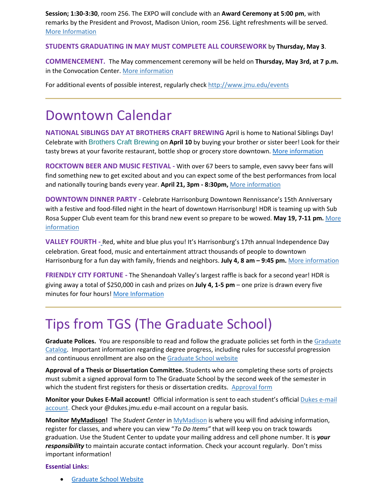**Session; 1:30-3:30**, room 256. The EXPO will conclude with an **Award Ceremony at 5:00 pm**, with remarks by the President and Provost, Madison Union, room 256. Light refreshments will be served. [More Information](https://www.jmu.edu/grad/GraduateShowcase/proposals-wanted.shtml)

#### **STUDENTS GRADUATING IN MAY MUST COMPLETE ALL COURSEWORK** by **Thursday, May 3**.

**COMMENCEMENT.** The May commencement ceremony will be held on **Thursday, May 3rd, at 7 p.m.** in the Convocation Center. [More information](http://www.jmu.edu/commencement/)

For additional events of possible interest, regularly check<http://www.jmu.edu/events>

### Downtown Calendar

**NATIONAL SIBLINGS DAY AT BROTHERS CRAFT BREWING** April is home to National Siblings Day! Celebrate with [Brothers Craft Brewing](https://www.brotherscraftbrewing.com/) on **April 10** by buying your brother or sister beer! Look for their tasty brews at your favorite restaurant, bottle shop or grocery store downtown. [More information](https://downtownharrisonburg.org/events/national-siblings-day-at-brothers-craft-brewing/)

**ROCKTOWN BEER AND MUSIC FESTIVAL -** With over 67 beers to sample, even savvy beer fans will find something new to get excited about and you can expect some of the best performances from local and nationally touring bands every year. **April 21, 3pm - 8:30pm,** [More information](https://downtownharrisonburg.org/events/rocktown-beer-and-music-festival/)

**DOWNTOWN DINNER PARTY -** Celebrate Harrisonburg Downtown Rennissance's 15th Anniversary with a festive and food-filled night in the heart of downtown Harrisonburg! HDR is teaming up with Sub Rosa Supper Club event team for this brand new event so prepare to be wowed. **May 19, 7-11 pm.** [More](https://downtownharrisonburg.org/events/downtown-dinner-party/) [information](https://downtownharrisonburg.org/events/downtown-dinner-party/)

**VALLEY FOURTH -** Red, white and blue plus you! It's Harrisonburg's 17th annual Independence Day celebration. Great food, music and entertainment attract thousands of people to downtown Harrisonburg for a fun day with family, friends and neighbors. **July 4, 8 am – 9:45 pm.** [More information](https://downtownharrisonburg.org/events/valley-fourth/)

**FRIENDLY CITY FORTUNE -** The Shenandoah Valley's largest raffle is back for a second year! HDR is giving away a total of \$250,000 in cash and prizes on **July 4, 1-5 pm** – one prize is drawn every five minutes for four hour[s! More Information](https://downtownharrisonburg.org/events/friendly-city-fortune/)

### Tips from TGS (The Graduate School)

**Graduate Polices.** You are responsible to read and follow the graduate policies set forth in th[e Graduate](http://jmu.edu/catalog)  [Catalog.](http://jmu.edu/catalog) Important information regarding degree progress, including rules for successful progression and continuous enrollment are also on the [Graduate School website](http://www.jmu.edu/grad/current-students/degree-progress/beginning.shtml)

**Approval of a Thesis or Dissertation Committee.** Students who are completing these sorts of projects must submit a signed approval form to The Graduate School by the second week of the semester in which the student first registers for thesis or dissertation credits. [Approval form](https://www.jmu.edu/grad/_files/CommitteeApprovalForm2017-18.pdf)

**Monitor your Dukes E-Mail account!** Official information is sent to each student's officia[l Dukes e-mail](http://www.jmu.edu/computing/helpdesk/selfhelp/DukesEmail.shtml)  [account.](http://www.jmu.edu/computing/helpdesk/selfhelp/DukesEmail.shtml) Check your @dukes.jmu.edu e-mail account on a regular basis.

**Monitor [MyMadison!](http://mymadison.jmu.edu/)** The *Student Center* in [MyMadison](http://mymadison.jmu.edu/) is where you will find advising information, register for classes, and where you can view "*To Do Items"* that will keep you on track towards graduation. Use the Student Center to update your mailing address and cell phone number. It is *your responsibility* to maintain accurate contact information. Check your account regularly. Don't miss important information!

#### **Essential Links:**

• [Graduate School Website](http://www.jmu.edu/grad)